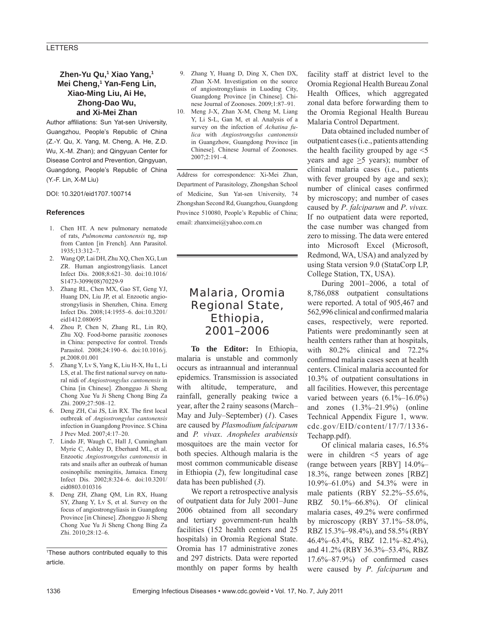# **LETTERS**

# **Zhen-Yu Qu,1 Xiao Yang,1 Mei Cheng,1 Yan-Feng Lin, Xiao-Ming Liu, Ai He, Zhong-Dao Wu, and Xi-Mei Zhan**

Author affiliations: Sun Yat-sen University, Guangzhou, People's Republic of China (Z.-Y. Qu, X. Yang, M. Cheng, A. He, Z.D. Wu, X.-M. Zhan); and Qingyuan Center for Disease Control and Prevention, Qingyuan, Guangdong, People's Republic of China (Y.-F. Lin, X-M Liu)

DOI: 10.3201/eid1707.100714

#### **References**

- 1. Chen HT. A new pulmonary nematode of rats, *Pulmonema cantonensis* ng, nsp from Canton [in French]. Ann Parasitol. 1935;13:312–7.
- 2. Wang QP, Lai DH, Zhu XQ, Chen XG, Lun ZR. Human angiostrongyliasis. Lancet Infect Dis. 2008;8:621–30. doi:10.1016/ S1473-3099(08)70229-9
- 3. Zhang RL, Chen MX, Gao ST, Geng YJ, Huang DN, Liu JP, et al. Enzootic angiostrongyliasis in Shenzhen, China. Emerg Infect Dis. 2008;14:1955–6. doi:10.3201/ eid1412.080695
- 4. Zhou P, Chen N, Zhang RL, Lin RQ, Zhu XQ. Food-borne parasitic zoonoses in China: perspective for control. Trends Parasitol. 2008;24:190–6. doi:10.1016/j. pt.2008.01.001
- 5. Zhang Y, Lv S, Yang K, Liu H-X, Hu L, Li LS, et al. The first national survey on natural nidi of *Angiostrongylus cantonensis* in China [in Chinese]. Zhongguo Ji Sheng Chong Xue Yu Ji Sheng Chong Bing Za Zhi. 2009;27:508–12.
- 6. Deng ZH, Cai JS, Lin RX. The first local outbreak of *Angiostrongylus cantonensis* infection in Guangdong Province. S China J Prev Med. 2007;4:17–20.
- 7. Lindo JF, Waugh C, Hall J, Cunningham Myrie C, Ashley D, Eberhard ML, et al. Enzootic *Angiostrongylus cantonensis* in rats and snails after an outbreak of human eosinophilic meningitis, Jamaica. Emerg Infect Dis. 2002;8:324–6. doi:10.3201/ eid0803.010316
- 8. Deng ZH, Zhang QM, Lin RX, Huang SY, Zhang Y, Lv S, et al. Survey on the focus of angiostrongyliasis in Guangdong Province [in Chinese]. Zhongguo Ji Sheng Chong Xue Yu Ji Sheng Chong Bing Za Zhi. 2010;28:12–6.
- 9. Zhang Y, Huang D, Ding X, Chen DX, Zhan X-M. Investigation on the source of angiostrongyliasis in Luoding City, Guangdong Province [in Chinese]. Chinese Journal of Zoonoses. 2009;1:87–91.
- 10. Meng J-X, Zhan X-M, Cheng M, Liang Y, Li S-L, Gan M, et al. Analysis of a survey on the infection of *Achatina fulica* with *Angiostrongylus cantonensis* in Guangzhow, Guangdong Province [in Chinese]. Chinese Journal of Zoonoses. 2007;2:191–4.

Address for correspondence: Xi-Mei Zhan, Department of Parasitology, Zhongshan School of Medicine, Sun Yat-sen University, 74 Zhongshan Second Rd, Guangzhou, Guangdong Province 510080, People's Republic of China; email: zhanximei@yahoo.com.cn

# Malaria, Oromia Regional State, Ethiopia, 2001–2006

**To the Editor:** In Ethiopia, malaria is unstable and commonly occurs as intraannual and interannual epidemics. Transmission is associated with altitude, temperature, and rainfall, generally peaking twice a year, after the 2 rainy seasons (March– May and July–September) (*1*). Cases are caused by *Plasmodium falciparum* and *P. vivax*. *Anopheles arabiensis* mosquitoes are the main vector for both species. Although malaria is the most common communicable disease in Ethiopia (*2*), few longitudinal case data has been published (*3*).

We report a retrospective analysis of outpatient data for July 2001–June 2006 obtained from all secondary and tertiary government-run health facilities (152 health centers and 25 hospitals) in Oromia Regional State. Oromia has 17 administrative zones and 297 districts. Data were reported monthly on paper forms by health

facility staff at district level to the Oromia Regional Health Bureau Zonal Health Offices, which aggregated zonal data before forwarding them to the Oromia Regional Health Bureau Malaria Control Department.

Data obtained included number of outpatient cases (i.e., patients attending the health facility grouped by age <5 years and age  $\geq$ 5 years); number of clinical malaria cases (i.e., patients with fever grouped by age and sex); number of clinical cases confirmed by microscopy; and number of cases caused by *P*. *falciparum* and *P*. *vivax.* If no outpatient data were reported, the case number was changed from zero to missing. The data were entered into Microsoft Excel (Microsoft, Redmond, WA, USA) and analyzed by using Stata version 9.0 (StataCorp LP, College Station, TX, USA).

During 2001–2006, a total of 8,786,088 outpatient consultations were reported. A total of 905,467 and 562,996 clinical and confirmed malaria cases, respectively, were reported. Patients were predominantly seen at health centers rather than at hospitals, with 80.2% clinical and 72.2% confirmed malaria cases seen at health centers. Clinical malaria accounted for 10.3% of outpatient consultations in all facilities. However, this percentage varied between years (6.1%–16.0%) and zones (1.3%–21.9%) (online Technical Appendix Figure 1, www. cdc.gov/EID/content/17/7/1336- Techapp.pdf).

Of clinical malaria cases, 16.5% were in children <5 years of age (range between years [RBY] 14.0%– 18.3%, range between zones [RBZ] 10.9%–61.0%) and 54.3% were in male patients (RBY 52.2%–55.6%, RBZ 50.1%–66.8%). Of clinical malaria cases, 49.2% were confirmed by microscopy (RBY 37.1%–58.0%, RBZ 15.3%–98.4%), and 58.5% (RBY 46.4%–63.4%, RBZ 12.1%–82.4%), and 41.2% (RBY 36.3%–53.4%, RBZ  $17.6\% - 87.9\%$  of confirmed cases were caused by *P*. *falciparum* and

<sup>1</sup> These authors contributed equally to this article.